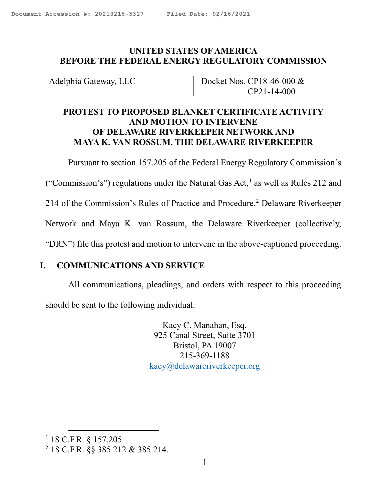## <span id="page-0-2"></span>**UNITED STATES OF AMERICA BEFORE THE FEDERAL ENERGY REGULATORY COMMISSION**

Adelphia Gateway, LLC Docket Nos. CP18-46-000 & CP21-14-000

# **PROTEST TO PROPOSED BLANKET CERTIFICATE ACTIVITY AND MOTION TO INTERVENE OF DELAWARE RIVERKEEPER NETWORK AND MAYA K. VAN ROSSUM, THE DELAWARE RIVERKEEPER**

Pursuant to section 157.205 of the Federal Energy Regulatory Commission's

("Commission's") regulations under the Natural Gas Act, $<sup>1</sup>$  $<sup>1</sup>$  $<sup>1</sup>$  as well as Rules 212 and</sup>

[2](#page-0-1)14 of the Commission's Rules of Practice and Procedure,<sup>2</sup> Delaware Riverkeeper

Network and Maya K. van Rossum, the Delaware Riverkeeper (collectively,

"DRN") file this protest and motion to intervene in the above-captioned proceeding.

### **I. COMMUNICATIONS AND SERVICE**

All communications, pleadings, and orders with respect to this proceeding should be sent to the following individual:

> Kacy C. Manahan, Esq. 925 Canal Street, Suite 3701 Bristol, PA 19007 215-369-1188 [kacy@delawareriverkeeper.org](mailto:kacy@delawareriverkeeper.org)

<span id="page-0-0"></span> <sup>1</sup> 18 C.F.R. § 157.205.

<span id="page-0-1"></span><sup>2</sup> 18 C.F.R. §§ 385.212 & 385.214.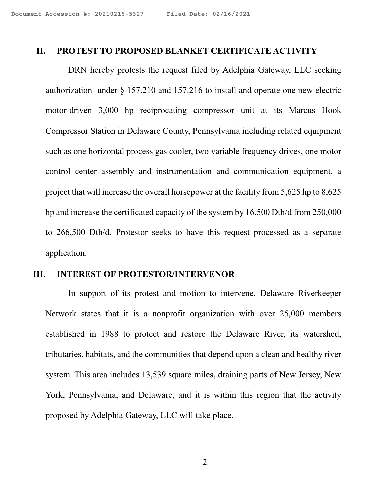#### **II. PROTEST TO PROPOSED BLANKET CERTIFICATE ACTIVITY**

DRN hereby protests the request filed by Adelphia Gateway, LLC seeking authorization under § 157.210 and 157.216 to install and operate one new electric motor-driven 3,000 hp reciprocating compressor unit at its Marcus Hook Compressor Station in Delaware County, Pennsylvania including related equipment such as one horizontal process gas cooler, two variable frequency drives, one motor control center assembly and instrumentation and communication equipment, a project that will increase the overall horsepower at the facility from 5,625 hp to 8,625 hp and increase the certificated capacity of the system by 16,500 Dth/d from 250,000 to 266,500 Dth/d. Protestor seeks to have this request processed as a separate application.

#### **III. INTEREST OF PROTESTOR/INTERVENOR**

In support of its protest and motion to intervene, Delaware Riverkeeper Network states that it is a nonprofit organization with over 25,000 members established in 1988 to protect and restore the Delaware River, its watershed, tributaries, habitats, and the communities that depend upon a clean and healthy river system. This area includes 13,539 square miles, draining parts of New Jersey, New York, Pennsylvania, and Delaware, and it is within this region that the activity proposed by Adelphia Gateway, LLC will take place.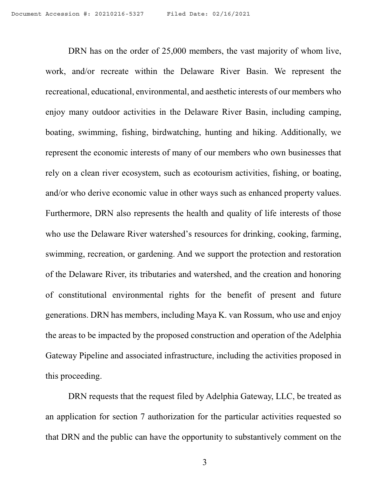DRN has on the order of 25,000 members, the vast majority of whom live, work, and/or recreate within the Delaware River Basin. We represent the recreational, educational, environmental, and aesthetic interests of our members who enjoy many outdoor activities in the Delaware River Basin, including camping, boating, swimming, fishing, birdwatching, hunting and hiking. Additionally, we represent the economic interests of many of our members who own businesses that rely on a clean river ecosystem, such as ecotourism activities, fishing, or boating, and/or who derive economic value in other ways such as enhanced property values. Furthermore, DRN also represents the health and quality of life interests of those who use the Delaware River watershed's resources for drinking, cooking, farming, swimming, recreation, or gardening. And we support the protection and restoration of the Delaware River, its tributaries and watershed, and the creation and honoring of constitutional environmental rights for the benefit of present and future generations. DRN has members, including Maya K. van Rossum, who use and enjoy the areas to be impacted by the proposed construction and operation of the Adelphia Gateway Pipeline and associated infrastructure, including the activities proposed in this proceeding.

DRN requests that the request filed by Adelphia Gateway, LLC, be treated as an application for section 7 authorization for the particular activities requested so that DRN and the public can have the opportunity to substantively comment on the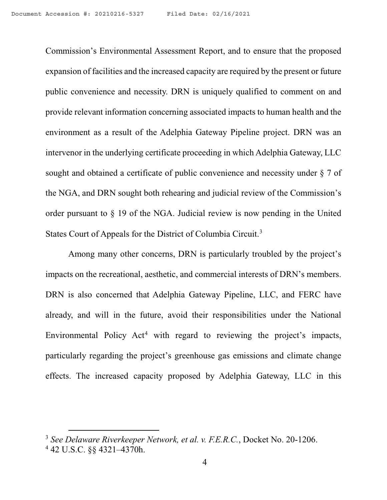Commission's Environmental Assessment Report, and to ensure that the proposed expansion of facilities and the increased capacity are required by the present or future public convenience and necessity. DRN is uniquely qualified to comment on and provide relevant information concerning associated impacts to human health and the environment as a result of the Adelphia Gateway Pipeline project. DRN was an intervenor in the underlying certificate proceeding in which Adelphia Gateway, LLC sought and obtained a certificate of public convenience and necessity under § 7 of the NGA, and DRN sought both rehearing and judicial review of the Commission's order pursuant to § 19 of the NGA. Judicial review is now pending in the United States Court of Appeals for the District of Columbia Circuit.[3](#page-3-0)

Among many other concerns, DRN is particularly troubled by the project's impacts on the recreational, aesthetic, and commercial interests of DRN's members. DRN is also concerned that Adelphia Gateway Pipeline, LLC, and FERC have already, and will in the future, avoid their responsibilities under the National Environmental Policy  $Act<sup>4</sup>$  $Act<sup>4</sup>$  $Act<sup>4</sup>$  with regard to reviewing the project's impacts, particularly regarding the project's greenhouse gas emissions and climate change effects. The increased capacity proposed by Adelphia Gateway, LLC in this

<span id="page-3-0"></span> <sup>3</sup> *See Delaware Riverkeeper Network, et al. v. F.E.R.C.*, Docket No. 20-1206.

<span id="page-3-1"></span><sup>4</sup> 42 U.S.C. §§ 4321–4370h.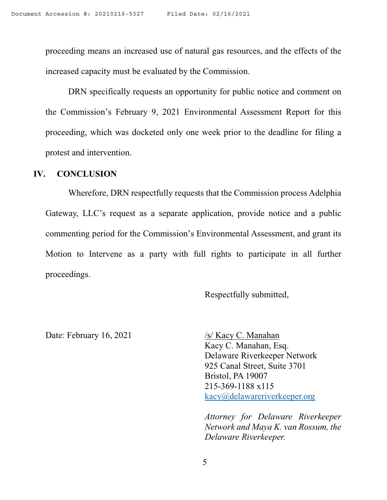proceeding means an increased use of natural gas resources, and the effects of the increased capacity must be evaluated by the Commission.

DRN specifically requests an opportunity for public notice and comment on the Commission's February 9, 2021 Environmental Assessment Report for this proceeding, which was docketed only one week prior to the deadline for filing a protest and intervention.

### **IV. CONCLUSION**

Wherefore, DRN respectfully requests that the Commission process Adelphia Gateway, LLC's request as a separate application, provide notice and a public commenting period for the Commission's Environmental Assessment, and grant its Motion to Intervene as a party with full rights to participate in all further proceedings.

Respectfully submitted,

Date: February 16, 2021 /s/ Kacy C. Manahan

Kacy C. Manahan, Esq. Delaware Riverkeeper Network 925 Canal Street, Suite 3701 Bristol, PA 19007 215-369-1188 x115 [kacy@delawareriverkeeper.org](mailto:kacy@delawareriverkeeper.org)

*Attorney for Delaware Riverkeeper Network and Maya K. van Rossum, the Delaware Riverkeeper.*